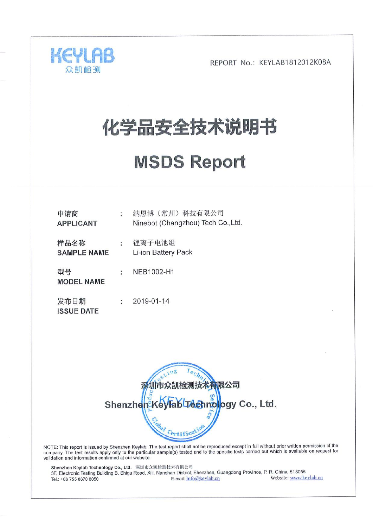

# 化学品安全技术说明书

# **MSDS Report**

| 申请商<br><b>APPLICANT</b>    | ÷ | 纳恩博 (常州) 科技有限公司<br>Ninebot (Changzhou) Tech Co., Ltd. |
|----------------------------|---|-------------------------------------------------------|
| 样品名称<br><b>SAMPLE NAME</b> | t | 锂离子电池组<br>Li-ion Battery Pack                         |
| 型号<br><b>MODEL NAME</b>    | ÷ | NEB1002-H1                                            |
| 发布日期<br><b>ISSUE DATE</b>  | ÷ | 2019-01-14                                            |



NOTE: This report is issued by Shenzhen Keylab. The test report shall not be reproduced except in full without prior written permission of the company. The test results apply only to the particular sample(s) tested and to the specific tests carried out which is available on request for validation and information confirmed at our website.

Shenzhen Keylab Technology Co., Ltd. 深圳市众凯检测技术有限公司 3F, Electronic Testing Building B, Shigu Road, Xili, Nanshan District, Shenzhen, Guangdong Province, P. R. China, 518055 Website: www.keylab.cn E-mail: Info@keylab.cn Tel.: +86 755 8670 8050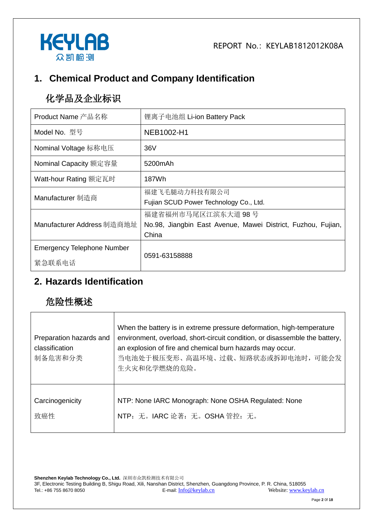



# **1. Chemical Product and Company Identification**

# 化学品及企业标识

| Product Name 产品名称                           | 锂离子电池组 Li-ion Battery Pack                                                                  |
|---------------------------------------------|---------------------------------------------------------------------------------------------|
| Model No. 型号                                | NEB1002-H1                                                                                  |
| Nominal Voltage 标称电压                        | 36V                                                                                         |
| Nominal Capacity 额定容量                       | 5200mAh                                                                                     |
| Watt-hour Rating 额定瓦时                       | 187Wh                                                                                       |
| Manufacturer 制造商                            | 福建飞毛腿动力科技有限公司<br>Fujian SCUD Power Technology Co., Ltd.                                     |
| Manufacturer Address 制造商地址                  | 福建省福州市马尾区江滨东大道 98号<br>No.98, Jiangbin East Avenue, Mawei District, Fuzhou, Fujian,<br>China |
| <b>Emergency Telephone Number</b><br>紧急联系电话 | 0591-63158888                                                                               |

### **2. Hazards Identification**

# 危险性概述

| Preparation hazards and<br>classification<br>制备危害和分类 | When the battery is in extreme pressure deformation, high-temperature<br>environment, overload, short-circuit condition, or disassemble the battery,<br>an explosion of fire and chemical burn hazards may occur.<br>当电池处于极压变形、高温环境、过载、短路状态或拆卸电池时, 可能会发<br>生火灾和化学燃烧的危险。 |
|------------------------------------------------------|-------------------------------------------------------------------------------------------------------------------------------------------------------------------------------------------------------------------------------------------------------------------------|
| Carcinogenicity                                      | NTP: None IARC Monograph: None OSHA Regulated: None                                                                                                                                                                                                                     |
| 致癌性                                                  | NTP: 无。IARC 论著: 无。OSHA 管控: 无。                                                                                                                                                                                                                                           |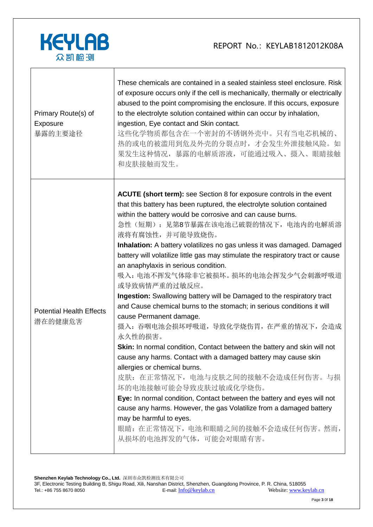

| Primary Route(s) of<br>Exposure<br>暴露的主要途径 | These chemicals are contained in a sealed stainless steel enclosure. Risk<br>of exposure occurs only if the cell is mechanically, thermally or electrically<br>abused to the point compromising the enclosure. If this occurs, exposure<br>to the electrolyte solution contained within can occur by inhalation,<br>ingestion, Eye contact and Skin contact.<br>这些化学物质都包含在一个密封的不锈钢外壳中。只有当电芯机械的、<br>热的或电的被滥用到危及外壳的分裂点时, 才会发生外泄接触风险。如<br>果发生这种情况,暴露的电解质溶液,可能通过吸入、摄入、眼睛接触<br>和皮肤接触而发生。                                                                                                                                                                                                                                                                                                                                                                                                                                                                                                                                                                                                                                                                                                                                                                                      |
|--------------------------------------------|--------------------------------------------------------------------------------------------------------------------------------------------------------------------------------------------------------------------------------------------------------------------------------------------------------------------------------------------------------------------------------------------------------------------------------------------------------------------------------------------------------------------------------------------------------------------------------------------------------------------------------------------------------------------------------------------------------------------------------------------------------------------------------------------------------------------------------------------------------------------------------------------------------------------------------------------------------------------------------------------------------------------------------------------------------------------------------------------------------------------------------------------------------------------------------------------------------------------------------------------------------------------------|
| <b>Potential Health Effects</b><br>潜在的健康危害 | <b>ACUTE (short term):</b> see Section 8 for exposure controls in the event<br>that this battery has been ruptured, the electrolyte solution contained<br>within the battery would be corrosive and can cause burns.<br>急性(短期): 见第8节暴露在该电池已破裂的情况下, 电池内的电解质溶<br>液将有腐蚀性, 并可能导致烧伤。<br>Inhalation: A battery volatilizes no gas unless it was damaged. Damaged<br>battery will volatilize little gas may stimulate the respiratory tract or cause<br>an anaphylaxis in serious condition.<br>吸入: 电池不挥发气体除非它被损坏。损坏的电池会挥发少气会刺激呼吸道<br>或导致病情严重的过敏反应。<br>Ingestion: Swallowing battery will be Damaged to the respiratory tract<br>and Cause chemical burns to the stomach; in serious conditions it will<br>cause Permanent damage.<br>摄入: 吞咽电池会损坏呼吸道, 导致化学烧伤胃, 在严重的情况下, 会造成<br>永久性的损害。<br>Skin: In normal condition, Contact between the battery and skin will not<br>cause any harms. Contact with a damaged battery may cause skin<br>allergies or chemical burns.<br>皮肤: 在正常情况下, 电池与皮肤之间的接触不会造成任何伤害。与损<br>坏的电池接触可能会导致皮肤过敏或化学烧伤。<br>Eye: In normal condition, Contact between the battery and eyes will not<br>cause any harms. However, the gas Volatilize from a damaged battery<br>may be harmful to eyes.<br>眼睛: 在正常情况下, 电池和眼睛之间的接触不会造成任何伤害。然而,<br>从损坏的电池挥发的气体, 可能会对眼睛有害。 |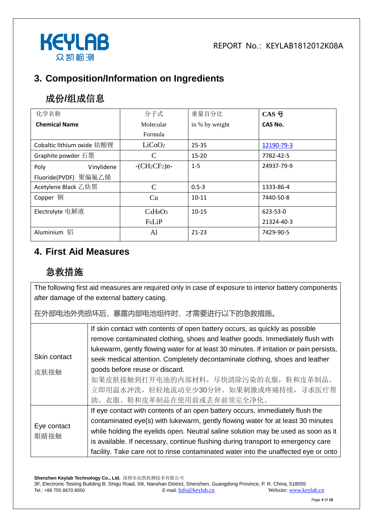

# **3. Composition/Information on Ingredients**

# 成份**/**组成信息

| 化学名称                       | 分子式                | 重量百分比          | CAS 号      |
|----------------------------|--------------------|----------------|------------|
| <b>Chemical Name</b>       | Molecular          | in % by weight | CAS No.    |
|                            | Formula            |                |            |
| Cobaltic lithium oxide 钴酸锂 | LiCoO <sub>2</sub> | $25 - 35$      | 12190-79-3 |
| Graphite powder 石墨         | C                  | $15 - 20$      | 7782-42-5  |
| Vinylidene<br>Poly         | $-CH_2CF_2$ )n-    | $1 - 5$        | 24937-79-9 |
| Fluoride(PVDF) 聚偏氟乙烯       |                    |                |            |
| Acetylene Black 乙炔黑        | C                  | $0.5 - 3$      | 1333-86-4  |
| Copper 铜                   | Cu                 | $10 - 11$      | 7440-50-8  |
| Electrolyte 电解液            | $C_4H_8O_3$        | $10 - 15$      | 623-53-0   |
|                            | F <sub>6</sub> LiP |                | 21324-40-3 |
| 铝<br>Aluminium             | Al                 | $21 - 23$      | 7429-90-5  |

#### **4. First Aid Measures**

# 急救措施

The following first aid measures are required only in case of exposure to interior battery components after damage of the external battery casing.

在外部电池外壳损坏后,暴露内部电池组件时,才需要进行以下的急救措施。

|                     | If skin contact with contents of open battery occurs, as quickly as possible            |
|---------------------|-----------------------------------------------------------------------------------------|
|                     | remove contaminated clothing, shoes and leather goods. Immediately flush with           |
|                     | lukewarm, gently flowing water for at least 30 minutes. If irritation or pain persists, |
| Skin contact        | seek medical attention. Completely decontaminate clothing, shoes and leather            |
| 皮肤接触                | goods before reuse or discard.                                                          |
|                     | 如果皮肤接触到打开电池的内部材料,尽快清除污染的衣服,鞋和皮革制品。                                                      |
|                     | 立即用温水冲洗,轻轻地流动至少30分钟。如果刺激或疼痛持续,寻求医疗帮                                                     |
|                     | 助。衣服、鞋和皮革制品在使用前或丢弃前须完全净化。                                                               |
|                     | If eye contact with contents of an open battery occurs, immediately flush the           |
| Eye contact<br>眼睛接触 | contaminated eye(s) with lukewarm, gently flowing water for at least 30 minutes         |
|                     | while holding the eyelids open. Neutral saline solution may be used as soon as it       |
|                     | is available. If necessary, continue flushing during transport to emergency care        |
|                     | facility. Take care not to rinse contaminated water into the unaffected eye or onto     |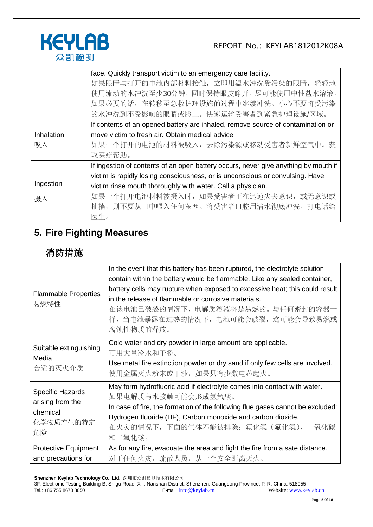

|            | face. Quickly transport victim to an emergency care facility.                       |
|------------|-------------------------------------------------------------------------------------|
|            | 如果眼睛与打开的电池内部材料接触, 立即用温水冲洗受污染的眼睛, 轻轻地                                                |
|            | 使用流动的水冲洗至少30分钟,同时保持眼皮睁开。尽可能使用中性盐水溶液。                                                |
|            | 如果必要的话, 在转移至急救护理设施的过程中继续冲洗。小心不要将受污染                                                 |
|            | 的水冲洗到不受影响的眼睛或脸上。快速运输受害者到紧急护理设施/区域。                                                  |
|            | If contents of an opened battery are inhaled, remove source of contamination or     |
| Inhalation | move victim to fresh air. Obtain medical advice                                     |
| 吸入         | 如果一个打开的电池的材料被吸入,去除污染源或移动受害者新鲜空气中。获                                                  |
|            | 取医疗帮助。                                                                              |
|            | If ingestion of contents of an open battery occurs, never give anything by mouth if |
|            | victim is rapidly losing consciousness, or is unconscious or convulsing. Have       |
| Ingestion  | victim rinse mouth thoroughly with water. Call a physician.                         |
| 摄入         | 如果一个打开电池材料被摄入时,如果受害者正在迅速失去意识,或无意识或                                                  |
|            | 抽搐,则不要从口中喂入任何东西。将受害者口腔用清水彻底冲洗。打电话给                                                  |
|            | 医生。                                                                                 |

# **5. Fire Fighting Measures**

# 消防措施

| <b>Flammable Properties</b><br>易燃特性                                        | In the event that this battery has been ruptured, the electrolyte solution<br>contain within the battery would be flammable. Like any sealed container,<br>battery cells may rupture when exposed to excessive heat; this could result<br>in the release of flammable or corrosive materials.<br>在该电池已破裂的情况下,电解质溶液将是易燃的。与任何密封的容器一<br>样, 当电池暴露在过热的情况下, 电池可能会破裂, 这可能会导致易燃或<br>腐蚀性物质的释放。 |
|----------------------------------------------------------------------------|---------------------------------------------------------------------------------------------------------------------------------------------------------------------------------------------------------------------------------------------------------------------------------------------------------------------------------------------------------------------------------------|
| Suitable extinguishing<br>Media<br>合适的灭火介质                                 | Cold water and dry powder in large amount are applicable.<br>可用大量冷水和干粉。<br>Use metal fire extinction powder or dry sand if only few cells are involved.<br>使用金属灭火粉末或干沙,如果只有少数电芯起火。                                                                                                                                                                                                    |
| <b>Specific Hazards</b><br>arising from the<br>chemical<br>化学物质产生的特定<br>危险 | May form hydrofluoric acid if electrolyte comes into contact with water.<br>如果电解质与水接触可能会形成氢氟酸。<br>In case of fire, the formation of the following flue gases cannot be excluded:<br>Hydrogen fluoride (HF), Carbon monoxide and carbon dioxide.<br>在火灾的情况下,下面的气体不能被排除: 氟化氢 (氟化氢),一氧化碳<br>和二氧化碳。                                                                                       |
| <b>Protective Equipment</b><br>and precautions for                         | As for any fire, evacuate the area and fight the fire from a sate distance.<br>对于任何火灾, 疏散人员, 从一个安全距离灭火。                                                                                                                                                                                                                                                                               |

**Shenzhen Keylab Technology Co., Ltd.** 深圳市众凯检测技术有限公司

3F, Electronic Testing Building B, Shigu Road, Xili, Nanshan District, Shenzhen, Guangdong Province, P. R. China, 518055 Tel.: +86 755 8670 8050 **E-mail:** [Info@keylab.cn](mailto:Info@keylab.cn) Website[: www.keylab.cn](http://www.keylab.cn/)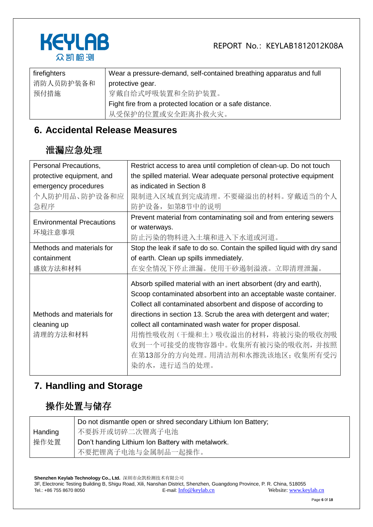



| firefighters | Wear a pressure-demand, self-contained breathing apparatus and full |
|--------------|---------------------------------------------------------------------|
| 消防人员防护装备和    | protective gear.                                                    |
| 预付措施         | 穿戴自给式呼吸装置和全防护装置。                                                    |
|              | Fight fire from a protected location or a safe distance.            |
|              | 从受保护的位置或安全距离扑救火灾。                                                   |

### **6. Accidental Release Measures**

#### 泄漏应急处理

| Personal Precautions,                      | Restrict access to area until completion of clean-up. Do not touch       |
|--------------------------------------------|--------------------------------------------------------------------------|
| protective equipment, and                  | the spilled material. Wear adequate personal protective equipment        |
| emergency procedures                       | as indicated in Section 8                                                |
| 个人防护用品、防护设备和应                              | 限制进入区域直到完成清理。不要碰溢出的材料。穿戴适当的个人                                            |
| 急程序                                        | 防护设备, 如第8节中的说明                                                           |
| <b>Environmental Precautions</b><br>环境注意事项 | Prevent material from contaminating soil and from entering sewers        |
|                                            | or waterways.                                                            |
|                                            | 防止污染的物料进入土壤和进入下水道或河道。                                                    |
| Methods and materials for                  | Stop the leak if safe to do so. Contain the spilled liquid with dry sand |
| containment                                | of earth. Clean up spills immediately.                                   |
| 盛放方法和材料                                    | 在安全情况下停止泄漏。使用干砂遏制溢液。立即清理泄漏。                                              |
|                                            | Absorb spilled material with an inert absorbent (dry and earth),         |
|                                            | Scoop contaminated absorbent into an acceptable waste container.         |
|                                            | Collect all contaminated absorbent and dispose of according to           |
| Methods and materials for                  | directions in section 13. Scrub the area with detergent and water;       |
|                                            |                                                                          |
| cleaning up                                | collect all contaminated wash water for proper disposal.                 |
| 清理的方法和材料                                   | 用惰性吸收剂(干燥和土)吸收溢出的材料,将被污染的吸收剂吸                                            |
|                                            | 收到一个可接受的废物容器中。收集所有被污染的吸收剂, 并按照                                           |
|                                            | 在第13部分的方向处理。用清洁剂和水擦洗该地区; 收集所有受污                                          |
|                                            | 染的水, 进行适当的处理。                                                            |

### **7. Handling and Storage**

# 操作处置与储存

|         | Do not dismantle open or shred secondary Lithium Ion Battery; |
|---------|---------------------------------------------------------------|
| Handing | 不要拆开或切碎二次锂离子电池                                                |
| 操作处置    | Don't handing Lithium Ion Battery with metalwork.             |
|         | 不要把锂离子电池与金属制品一起操作。                                            |

**Shenzhen Keylab Technology Co., Ltd.** 深圳市众凯检测技术有限公司 3F, Electronic Testing Building B, Shigu Road, Xili, Nanshan District, Shenzhen, Guangdong Province, P. R. China, 518055 Tel.: +86 755 8670 8050 E-mail: [Info@keylab.cn](mailto:Info@keylab.cn) Website[: www.keylab.cn](http://www.keylab.cn/)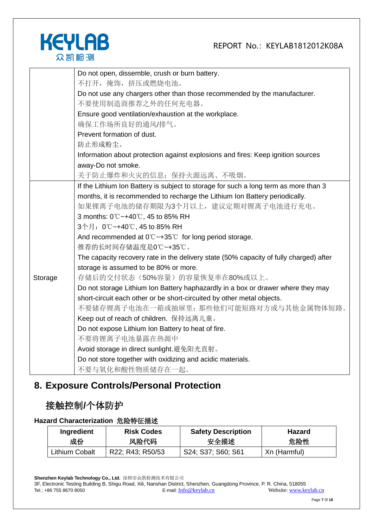

|         | Do not open, dissemble, crush or burn battery.                                         |
|---------|----------------------------------------------------------------------------------------|
|         | 不打开, 掩饰, 挤压或燃烧电池。                                                                      |
|         | Do not use any chargers other than those recommended by the manufacturer.              |
|         | 不要使用制造商推荐之外的任何充电器。                                                                     |
|         | Ensure good ventilation/exhaustion at the workplace.                                   |
|         | 确保工作场所良好的通风/排气。                                                                        |
|         | Prevent formation of dust.                                                             |
|         | 防止形成粉尘。                                                                                |
|         | Information about protection against explosions and fires: Keep ignition sources       |
|         | away-Do not smoke.                                                                     |
|         | 关于防止爆炸和火灾的信息: 保持火源远离、不吸烟。                                                              |
|         | If the Lithium Ion Battery is subject to storage for such a long term as more than 3   |
|         | months, it is recommended to recharge the Lithium Ion Battery periodically.            |
|         | 如果锂离子电池的储存期限为3个月以上,建议定期对锂离子电池进行充电。                                                     |
|         | 3 months: 0℃~+40℃, 45 to 85% RH                                                        |
|         | 3个月: 0℃~+40℃, 45 to 85% RH                                                             |
|         | And recommended at $0^{\circ}$ $\sim$ +35 $^{\circ}$ for long period storage.          |
|         | 推荐的长时间存储温度是0℃~+35℃。                                                                    |
|         | The capacity recovery rate in the delivery state (50% capacity of fully charged) after |
|         | storage is assumed to be 80% or more.                                                  |
| Storage | 存储后的交付状态(50%容量)的容量恢复率在80%或以上。                                                          |
|         | Do not storage Lithium Ion Battery haphazardly in a box or drawer where they may       |
|         | short-circuit each other or be short-circuited by other metal objects.                 |
|         | 不要储存锂离子电池在一箱或抽屉里: 那些他们可能短路对方或与其他金属物体短路。                                                |
|         | Keep out of reach of children. 保持远离儿童。                                                 |
|         | Do not expose Lithium Ion Battery to heat of fire.                                     |
|         | 不要将锂离子电池暴露在热源中                                                                         |
|         | Avoid storage in direct sunlight.避免阳光直射。                                               |
|         | Do not store together with oxidizing and acidic materials.                             |
|         | 不要与氧化和酸性物质储存在一起。                                                                       |

# **8. Exposure Controls/Personal Protection**

### 接触控制**/**个体防护

#### **Hazard Characterization** 危险特征描述

| Ingredient     | <b>Risk Codes</b> | <b>Safety Description</b> | <b>Hazard</b> |
|----------------|-------------------|---------------------------|---------------|
| 成份             | 风险代码              | 安全描述                      | 危险性           |
| Lithium Cobalt | R22; R43; R50/53  | S24; S37; S60; S61        | Xn (Harmful)  |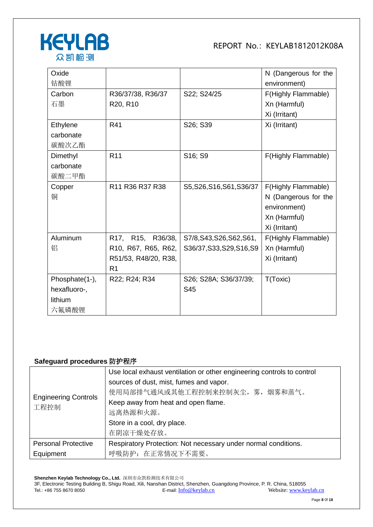

| Oxide          |                      |                           | N (Dangerous for the |
|----------------|----------------------|---------------------------|----------------------|
| 钴酸锂            |                      |                           | environment)         |
| Carbon         | R36/37/38, R36/37    | S22; S24/25               | F(Highly Flammable)  |
| 石墨             | R20, R10             |                           | Xn (Harmful)         |
|                |                      |                           | Xi (Irritant)        |
| Ethylene       | R41                  | S26; S39                  | Xi (Irritant)        |
| carbonate      |                      |                           |                      |
| 碳酸次乙酯          |                      |                           |                      |
| Dimethyl       | R <sub>11</sub>      | S16; S9                   | F(Highly Flammable)  |
| carbonate      |                      |                           |                      |
| 碳酸二甲酯          |                      |                           |                      |
| Copper         | R11 R36 R37 R38      | S5, S26, S16, S61, S36/37 | F(Highly Flammable)  |
| 铜              |                      |                           | N (Dangerous for the |
|                |                      |                           | environment)         |
|                |                      |                           | Xn (Harmful)         |
|                |                      |                           | Xi (Irritant)        |
| Aluminum       | R17, R15, R36/38,    | S7/8, S43, S26, S62, S61, | F(Highly Flammable)  |
| 铝              | R10, R67, R65, R62,  | S36/37, S33, S29, S16, S9 | Xn (Harmful)         |
|                | R51/53, R48/20, R38, |                           | Xi (Irritant)        |
|                | R <sub>1</sub>       |                           |                      |
| Phosphate(1-), | R22; R24; R34        | S26; S28A; S36/37/39;     | T(Toxic)             |
| hexafluoro-,   |                      | S45                       |                      |
| lithium        |                      |                           |                      |
| 六氟磷酸锂          |                      |                           |                      |

#### **Safeguard procedures** 防护程序

|                                     | Use local exhaust ventilation or other engineering controls to control |  |
|-------------------------------------|------------------------------------------------------------------------|--|
|                                     | sources of dust, mist, fumes and vapor.                                |  |
|                                     | 使用局部排气通风或其他工程控制来控制灰尘, 雾, 烟雾和蒸气。                                        |  |
| <b>Engineering Controls</b><br>工程控制 | Keep away from heat and open flame.                                    |  |
|                                     | 远离热源和火源。                                                               |  |
|                                     | Store in a cool, dry place.                                            |  |
|                                     | 在阴凉干燥处存放。                                                              |  |
| <b>Personal Protective</b>          | Respiratory Protection: Not necessary under normal conditions.         |  |
| Equipment                           | 呼吸防护: 在正常情况下不需要。                                                       |  |

**Shenzhen Keylab Technology Co., Ltd.** 深圳市众凯检测技术有限公司 3F, Electronic Testing Building B, Shigu Road, Xili, Nanshan District, Shenzhen, Guangdong Province, P. R. China, 518055 Tel.: +86 755 8670 8050 **E-mail:** [Info@keylab.cn](mailto:Info@keylab.cn) Website[: www.keylab.cn](http://www.keylab.cn/)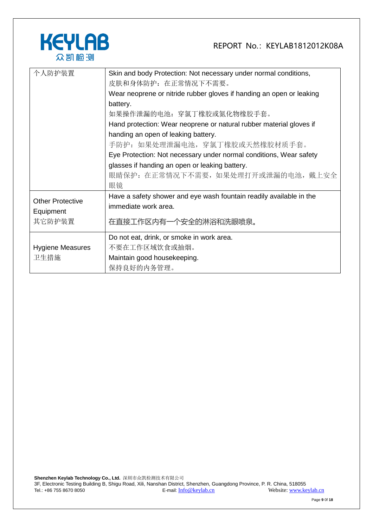

| 个人防护装置                  | Skin and body Protection: Not necessary under normal conditions,     |  |  |
|-------------------------|----------------------------------------------------------------------|--|--|
|                         | 皮肤和身体防护:在正常情况下不需要。                                                   |  |  |
|                         | Wear neoprene or nitride rubber gloves if handing an open or leaking |  |  |
|                         | battery.                                                             |  |  |
|                         | 如果操作泄漏的电池:穿氯丁橡胶或氮化物橡胶手套。                                             |  |  |
|                         | Hand protection: Wear neoprene or natural rubber material gloves if  |  |  |
|                         | handing an open of leaking battery.                                  |  |  |
|                         | 手防护: 如果处理泄漏电池, 穿氯丁橡胶或天然橡胶材质手套。                                       |  |  |
|                         | Eye Protection: Not necessary under normal conditions, Wear safety   |  |  |
|                         | glasses if handing an open or leaking battery.                       |  |  |
|                         | 眼睛保护: 在正常情况下不需要, 如果处理打开或泄漏的电池, 戴上安全                                  |  |  |
|                         | 眼镜                                                                   |  |  |
| <b>Other Protective</b> | Have a safety shower and eye wash fountain readily available in the  |  |  |
|                         | immediate work area.                                                 |  |  |
| Equipment               |                                                                      |  |  |
| 其它防护装置                  | 在直接工作区内有一个安全的淋浴和洗眼喷泉。                                                |  |  |
|                         | Do not eat, drink, or smoke in work area.                            |  |  |
| <b>Hygiene Measures</b> | 不要在工作区域饮食或抽烟。                                                        |  |  |
| 卫生措施                    | Maintain good housekeeping.                                          |  |  |
|                         | 保持良好的内务管理。                                                           |  |  |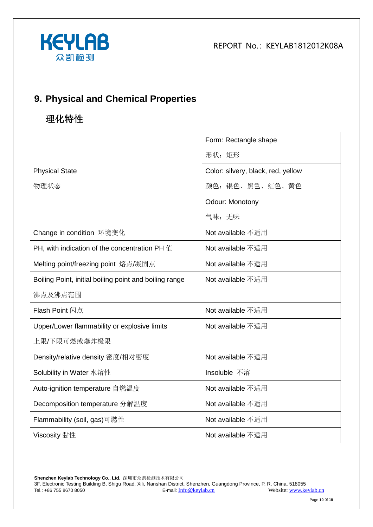



# **9. Physical and Chemical Properties**

# 理化特性

|                                                        | Form: Rectangle shape              |
|--------------------------------------------------------|------------------------------------|
|                                                        | 形状: 矩形                             |
| <b>Physical State</b>                                  | Color: silvery, black, red, yellow |
| 物理状态                                                   | 颜色: 银色、黑色、红色、黄色                    |
|                                                        | Odour: Monotony                    |
|                                                        | 气味:无味                              |
| Change in condition 环境变化                               | Not available 不适用                  |
| PH, with indication of the concentration PH 值          | Not available 不适用                  |
| Melting point/freezing point 熔点/凝固点                    | Not available 不适用                  |
| Boiling Point, initial boiling point and boiling range | Not available 不适用                  |
| 沸点及沸点范围                                                |                                    |
| <b>Flash Point 闪点</b>                                  | Not available 不适用                  |
| Upper/Lower flammability or explosive limits           | Not available 不适用                  |
| 上限/下限可燃或爆炸极限                                           |                                    |
| Density/relative density 密度/相对密度                       | Not available 不适用                  |
| Solubility in Water 水溶性                                | Insoluble 不溶                       |
| Auto-ignition temperature 自燃温度                         | Not available 不适用                  |
| Decomposition temperature 分解温度                         | Not available 不适用                  |
| Flammability (soil, gas)可燃性                            | Not available 不适用                  |
| Viscosity 黏性                                           | Not available 不适用                  |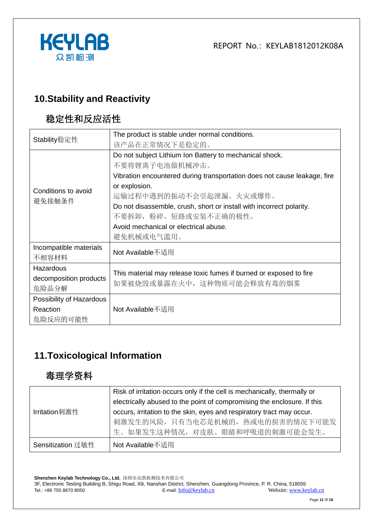

### **10.Stability and Reactivity**

# 稳定性和反应活性

| Stability稳定性             | The product is stable under normal conditions.                                                    |  |  |
|--------------------------|---------------------------------------------------------------------------------------------------|--|--|
|                          | 该产品在正常情况下是稳定的。                                                                                    |  |  |
|                          | Do not subject Lithium Ion Battery to mechanical shock.                                           |  |  |
|                          | 不要将锂离子电池做机械冲击。                                                                                    |  |  |
|                          | Vibration encountered during transportation does not cause leakage, fire                          |  |  |
| Conditions to avoid      | or explosion.                                                                                     |  |  |
|                          | 运输过程中遇到的振动不会引起泄漏、火灾或爆炸。                                                                           |  |  |
| 避免接触条件                   | Do not disassemble, crush, short or install with incorrect polarity.                              |  |  |
|                          | 不要拆卸, 粉碎, 短路或安装不正确的极性。                                                                            |  |  |
|                          | Avoid mechanical or electrical abuse.                                                             |  |  |
|                          | 避免机械或电气滥用。                                                                                        |  |  |
| Incompatible materials   | Not Available不适用                                                                                  |  |  |
| 不相容材料                    |                                                                                                   |  |  |
| Hazardous                |                                                                                                   |  |  |
| decomposition products   | This material may release toxic fumes if burned or exposed to fire<br>如果被烧毁或暴露在火中, 这种物质可能会释放有毒的烟雾 |  |  |
| 危险品分解                    |                                                                                                   |  |  |
| Possibility of Hazardous |                                                                                                   |  |  |
| Reaction                 | Not Available不适用                                                                                  |  |  |
| 危险反应的可能性                 |                                                                                                   |  |  |

# **11.Toxicological Information**

### 毒理学资料

|                   | Risk of irritation occurs only if the cell is mechanically, thermally or<br>electrically abused to the point of compromising the enclosure. If this |
|-------------------|-----------------------------------------------------------------------------------------------------------------------------------------------------|
| Irritation刺激性     | occurs, irritation to the skin, eyes and respiratory tract may occur.<br>刺激发生的风险, 只有当电芯是机械的, 热或电的损害的情况下可能发<br>生。如果发生这种情况, 对皮肤、眼睛和呼吸道的刺激可能会发生。       |
| Sensitization 过敏性 | Not Available不适用                                                                                                                                    |

**Shenzhen Keylab Technology Co., Ltd.** 深圳市众凯检测技术有限公司 3F, Electronic Testing Building B, Shigu Road, Xili, Nanshan District, Shenzhen, Guangdong Province, P. R. China, 518055 Tel.: +86 755 8670 8050 E-mail: [Info@keylab.cn](mailto:Info@keylab.cn) Website[: www.keylab.cn](http://www.keylab.cn/)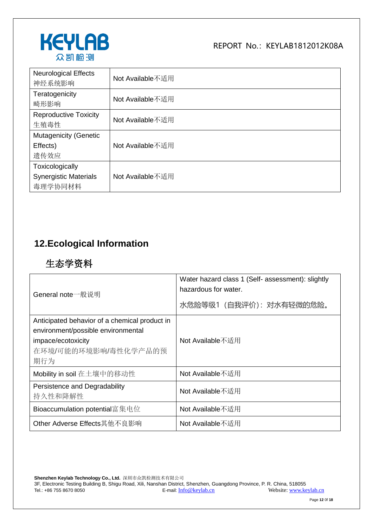

| <b>Neurological Effects</b><br>神经系统影响                      | Not Available不适用 |
|------------------------------------------------------------|------------------|
| Teratogenicity<br>畸形影响                                     | Not Available不适用 |
| <b>Reproductive Toxicity</b><br>生殖毒性                       | Not Available不适用 |
| <b>Mutagenicity (Genetic</b><br>Effects)<br>遗传效应           | Not Available不适用 |
| Toxicologically<br><b>Synergistic Materials</b><br>毒理学协同材料 | Not Available不适用 |

# **12.Ecological Information**

# 生态学资料

| General note一般说明                                                                                                                         | Water hazard class 1 (Self- assessment): slightly<br>hazardous for water.<br>水危险等级1 (自我评价): 对水有轻微的危险。 |  |
|------------------------------------------------------------------------------------------------------------------------------------------|-------------------------------------------------------------------------------------------------------|--|
| Anticipated behavior of a chemical product in<br>environment/possible environmental<br>impace/ecotoxicity<br>在环境/可能的环境影响/毒性化学产品的预<br>期行为 | Not Available不适用                                                                                      |  |
| Mobility in soil 在土壤中的移动性                                                                                                                | Not Available不适用                                                                                      |  |
| Persistence and Degradability<br>持久性和降解性                                                                                                 | Not Available不适用                                                                                      |  |
| Bioaccumulation potential富集电位                                                                                                            | Not Available不适用                                                                                      |  |
| Other Adverse Effects其他不良影响                                                                                                              | Not Available不适用                                                                                      |  |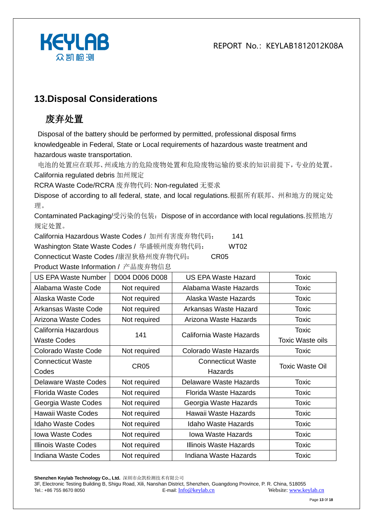

### **13.Disposal Considerations**

# 废弃处置

Disposal of the battery should be performed by permitted, professional disposal firms knowledgeable in Federal, State or Local requirements of hazardous waste treatment and hazardous waste transportation.

电池的处置应在联邦、州或地方的危险废物处置和危险废物运输的要求的知识前提下,专业的处置。 California regulated debris 加州规定

RCRA Waste Code/RCRA 废弃物代码: Non-regulated 无要求

Dispose of according to all federal, state, and local regulations.根据所有联邦、州和地方的规定处 理。

Contaminated Packaging/受污染的包装:Dispose of in accordance with local regulations.按照地方 规定处置。

California Hazardous Waste Codes / 加州有害废弃物代码: 141

Washington State Waste Codes / 华盛顿州废弃物代码: WT02

Connecticut Waste Codes /康涅狄格州废弃物代码: CR05

Product Waste Information / 产品废弃物信息

| <b>US EPA Waste Number</b>  | D004 D006 D008   | US EPA Waste Hazard        | Toxic                   |
|-----------------------------|------------------|----------------------------|-------------------------|
| Alabama Waste Code          | Not required     | Alabama Waste Hazards      | <b>Toxic</b>            |
| Alaska Waste Code           | Not required     | Alaska Waste Hazards       | <b>Toxic</b>            |
| Arkansas Waste Code         | Not required     | Arkansas Waste Hazard      | <b>Toxic</b>            |
| Arizona Waste Codes         | Not required     | Arizona Waste Hazards      | Toxic                   |
| California Hazardous        | 141              |                            | Toxic                   |
| <b>Waste Codes</b>          |                  | California Waste Hazards   | <b>Toxic Waste oils</b> |
| Colorado Waste Code         | Not required     | Colorado Waste Hazards     | Toxic                   |
| <b>Connecticut Waste</b>    | CR <sub>05</sub> | <b>Connecticut Waste</b>   | Toxic Waste Oil         |
| Codes                       |                  | Hazards                    |                         |
| Delaware Waste Codes        | Not required     | Delaware Waste Hazards     | Toxic                   |
| <b>Florida Waste Codes</b>  | Not required     | Florida Waste Hazards      | Toxic                   |
| Georgia Waste Codes         | Not required     | Georgia Waste Hazards      | Toxic                   |
| Hawaii Waste Codes          | Not required     | Hawaii Waste Hazards       | Toxic                   |
| <b>Idaho Waste Codes</b>    | Not required     | <b>Idaho Waste Hazards</b> | <b>Toxic</b>            |
| <b>Iowa Waste Codes</b>     | Not required     | <b>Iowa Waste Hazards</b>  | <b>Toxic</b>            |
| <b>Illinois Waste Codes</b> | Not required     | Illinois Waste Hazards     | <b>Toxic</b>            |
| Indiana Waste Codes         | Not required     | Indiana Waste Hazards      | <b>Toxic</b>            |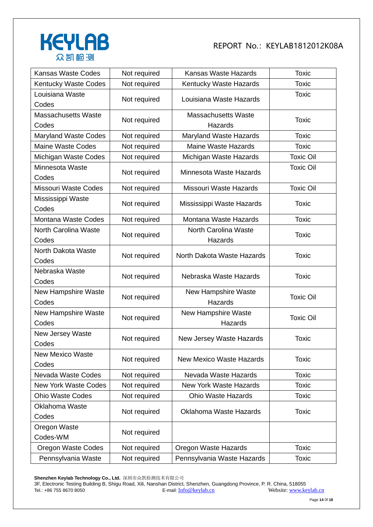

| <b>Kansas Waste Codes</b>           | Not required | Kansas Waste Hazards                  | <b>Toxic</b>     |
|-------------------------------------|--------------|---------------------------------------|------------------|
| <b>Kentucky Waste Codes</b>         | Not required | Kentucky Waste Hazards                | <b>Toxic</b>     |
| Louisiana Waste<br>Codes            | Not required | Louisiana Waste Hazards               | <b>Toxic</b>     |
| <b>Massachusetts Waste</b><br>Codes | Not required | <b>Massachusetts Waste</b><br>Hazards | <b>Toxic</b>     |
| <b>Maryland Waste Codes</b>         | Not required | Maryland Waste Hazards                | <b>Toxic</b>     |
| <b>Maine Waste Codes</b>            | Not required | <b>Maine Waste Hazards</b>            | <b>Toxic</b>     |
| Michigan Waste Codes                | Not required | Michigan Waste Hazards                | <b>Toxic Oil</b> |
| Minnesota Waste<br>Codes            | Not required | Minnesota Waste Hazards               | <b>Toxic Oil</b> |
| <b>Missouri Waste Codes</b>         | Not required | Missouri Waste Hazards                | <b>Toxic Oil</b> |
| Mississippi Waste<br>Codes          | Not required | Mississippi Waste Hazards             | <b>Toxic</b>     |
| Montana Waste Codes                 | Not required | Montana Waste Hazards                 | <b>Toxic</b>     |
| North Carolina Waste<br>Codes       | Not required | North Carolina Waste<br>Hazards       | <b>Toxic</b>     |
| North Dakota Waste<br>Codes         | Not required | North Dakota Waste Hazards            | <b>Toxic</b>     |
| Nebraska Waste<br>Codes             | Not required | Nebraska Waste Hazards                | <b>Toxic</b>     |
| New Hampshire Waste<br>Codes        | Not required | <b>New Hampshire Waste</b><br>Hazards | <b>Toxic Oil</b> |
| New Hampshire Waste<br>Codes        | Not required | <b>New Hampshire Waste</b><br>Hazards | <b>Toxic Oil</b> |
| New Jersey Waste<br>Codes           | Not required | New Jersey Waste Hazards              | <b>Toxic</b>     |
| <b>New Mexico Waste</b><br>Codes    | Not required | <b>New Mexico Waste Hazards</b>       | <b>Toxic</b>     |
| Nevada Waste Codes                  | Not required | Nevada Waste Hazards                  | <b>Toxic</b>     |
| <b>New York Waste Codes</b>         | Not required | <b>New York Waste Hazards</b>         | <b>Toxic</b>     |
| <b>Ohio Waste Codes</b>             | Not required | <b>Ohio Waste Hazards</b>             | <b>Toxic</b>     |
| <b>Oklahoma Waste</b><br>Codes      | Not required | <b>Oklahoma Waste Hazards</b>         | <b>Toxic</b>     |
| Oregon Waste<br>Codes-WM            | Not required |                                       |                  |
| <b>Oregon Waste Codes</b>           | Not required | Oregon Waste Hazards                  | <b>Toxic</b>     |
| Pennsylvania Waste                  | Not required | Pennsylvania Waste Hazards            | <b>Toxic</b>     |

**Shenzhen Keylab Technology Co., Ltd.** 深圳市众凯检测技术有限公司 3F, Electronic Testing Building B, Shigu Road, Xili, Nanshan District, Shenzhen, Guangdong Province, P. R. China, 518055 Tel.: +86 755 8670 8050 **E-mail:** [Info@keylab.cn](mailto:Info@keylab.cn) Website[: www.keylab.cn](http://www.keylab.cn/)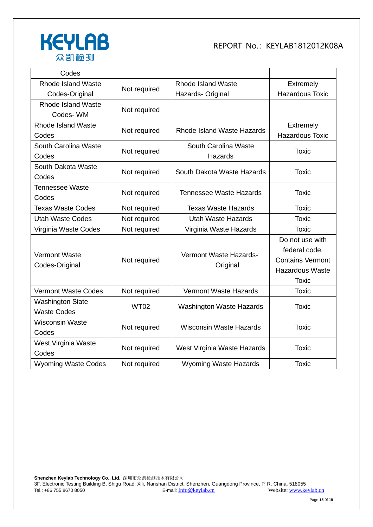

| Codes                                         |              |                                    |                                                                                                       |
|-----------------------------------------------|--------------|------------------------------------|-------------------------------------------------------------------------------------------------------|
| <b>Rhode Island Waste</b>                     |              | <b>Rhode Island Waste</b>          | Extremely                                                                                             |
| Codes-Original                                | Not required | Hazards- Original                  | <b>Hazardous Toxic</b>                                                                                |
| <b>Rhode Island Waste</b><br>Codes-WM         | Not required |                                    |                                                                                                       |
| <b>Rhode Island Waste</b><br>Codes            | Not required | Rhode Island Waste Hazards         | Extremely<br><b>Hazardous Toxic</b>                                                                   |
| South Carolina Waste<br>Codes                 | Not required | South Carolina Waste<br>Hazards    | <b>Toxic</b>                                                                                          |
| South Dakota Waste<br>Codes                   | Not required | South Dakota Waste Hazards         | <b>Toxic</b>                                                                                          |
| <b>Tennessee Waste</b><br>Codes               | Not required | <b>Tennessee Waste Hazards</b>     | <b>Toxic</b>                                                                                          |
| <b>Texas Waste Codes</b>                      | Not required | <b>Texas Waste Hazards</b>         | <b>Toxic</b>                                                                                          |
| <b>Utah Waste Codes</b>                       | Not required | <b>Utah Waste Hazards</b>          | <b>Toxic</b>                                                                                          |
| Virginia Waste Codes                          | Not required | Virginia Waste Hazards             | <b>Toxic</b>                                                                                          |
| <b>Vermont Waste</b><br>Codes-Original        | Not required | Vermont Waste Hazards-<br>Original | Do not use with<br>federal code.<br><b>Contains Vermont</b><br><b>Hazardous Waste</b><br><b>Toxic</b> |
| <b>Vermont Waste Codes</b>                    | Not required | <b>Vermont Waste Hazards</b>       | <b>Toxic</b>                                                                                          |
| <b>Washington State</b><br><b>Waste Codes</b> | <b>WT02</b>  | <b>Washington Waste Hazards</b>    | <b>Toxic</b>                                                                                          |
| <b>Wisconsin Waste</b><br>Codes               | Not required | <b>Wisconsin Waste Hazards</b>     | <b>Toxic</b>                                                                                          |
| West Virginia Waste<br>Codes                  | Not required | West Virginia Waste Hazards        | <b>Toxic</b>                                                                                          |
| <b>Wyoming Waste Codes</b>                    | Not required | <b>Wyoming Waste Hazards</b>       | <b>Toxic</b>                                                                                          |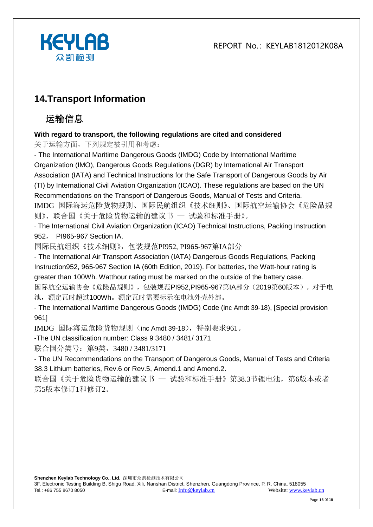



# **14.Transport Information**

# 运输信息

#### **With regard to transport, the following regulations are cited and considered**

关于运输方面,下列规定被引用和考虑:

- The International Maritime Dangerous Goods (IMDG) Code by International Maritime Organization (IMO), Dangerous Goods Regulations (DGR) by International Air Transport Association (IATA) and Technical Instructions for the Safe Transport of Dangerous Goods by Air (TI) by International Civil Aviation Organization (ICAO). These regulations are based on the UN Recommendations on the Transport of Dangerous Goods, Manual of Tests and Criteria. IMDG 国际海运危险货物规则、国际民航组织《技术细则》、国际航空运输协会《危险品规 则》、联合国《关于危险货物运输的建议书 — 试验和标准手册》。

- The International Civil Aviation Organization (ICAO) Technical Instructions, Packing Instruction 952, PI965-967 Section IA.

国际民航组织《技术细则》,包装规范PI952, PI965-967第IA部分

- The International Air Transport Association (IATA) Dangerous Goods Regulations, Packing Instruction952, 965-967 Section IA (60th Edition, 2019). For batteries, the Watt-hour rating is greater than 100Wh. Watthour rating must be marked on the outside of the battery case. 国际航空运输协会《危险品规则》,包装规范PI952,PI965-967第IA部分(2019第60版本)。对于电 池,额定瓦时超过100Wh。额定瓦时需要标示在电池外壳外部。

- The International Maritime Dangerous Goods (IMDG) Code (inc Amdt 39-18), [Special provision 961]

IMDG 国际海运危险货物规则(inc Amdt 39-18),特别要求961。

-The UN classification number: Class 9 3480 / 3481/ 3171

联合国分类号: 第9类, 3480 / 3481/3171

- The UN Recommendations on the Transport of Dangerous Goods, Manual of Tests and Criteria 38.3 Lithium batteries, Rev.6 or Rev.5, Amend.1 and Amend.2.

联合国《关于危险货物运输的建议书 — 试验和标准手册》第38.3节锂电池, 第6版本或者 第5版本修订1和修订2。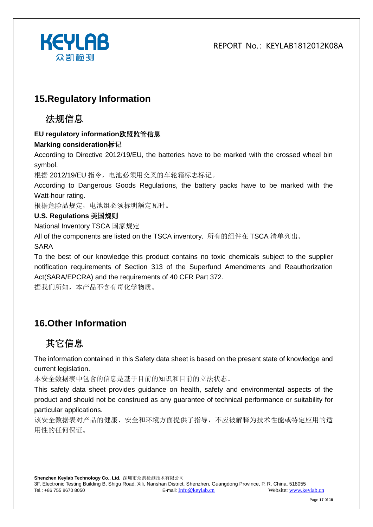

### **15.Regulatory Information**

### 法规信息

#### **EU regulatory information**欧盟监管信息

#### **Marking consideration**标记

According to Directive 2012/19/EU, the batteries have to be marked with the crossed wheel bin symbol.

根据 2012/19/EU 指令,电池必须用交叉的车轮箱标志标记。

According to Dangerous Goods Regulations, the battery packs have to be marked with the Watt-hour rating.

根据危险品规定,电池组必须标明额定瓦时。

#### **U.S. Regulations** 美国规则

National Inventory TSCA 国家规定

All of the components are listed on the TSCA inventory. 所有的组件在 TSCA 清单列出。

SARA

To the best of our knowledge this product contains no toxic chemicals subject to the supplier notification requirements of Section 313 of the Superfund Amendments and Reauthorization Act(SARA/EPCRA) and the requirements of 40 CFR Part 372.

据我们所知,本产品不含有毒化学物质。

# **16.Other Information**

# 其它信息

The information contained in this Safety data sheet is based on the present state of knowledge and current legislation.

本安全数据表中包含的信息是基于目前的知识和目前的立法状态。

This safety data sheet provides guidance on health, safety and environmental aspects of the product and should not be construed as any guarantee of technical performance or suitability for particular applications.

该安全数据表对产品的健康、安全和环境方面提供了指导,不应被解释为技术性能或特定应用的适 用性的任何保证。